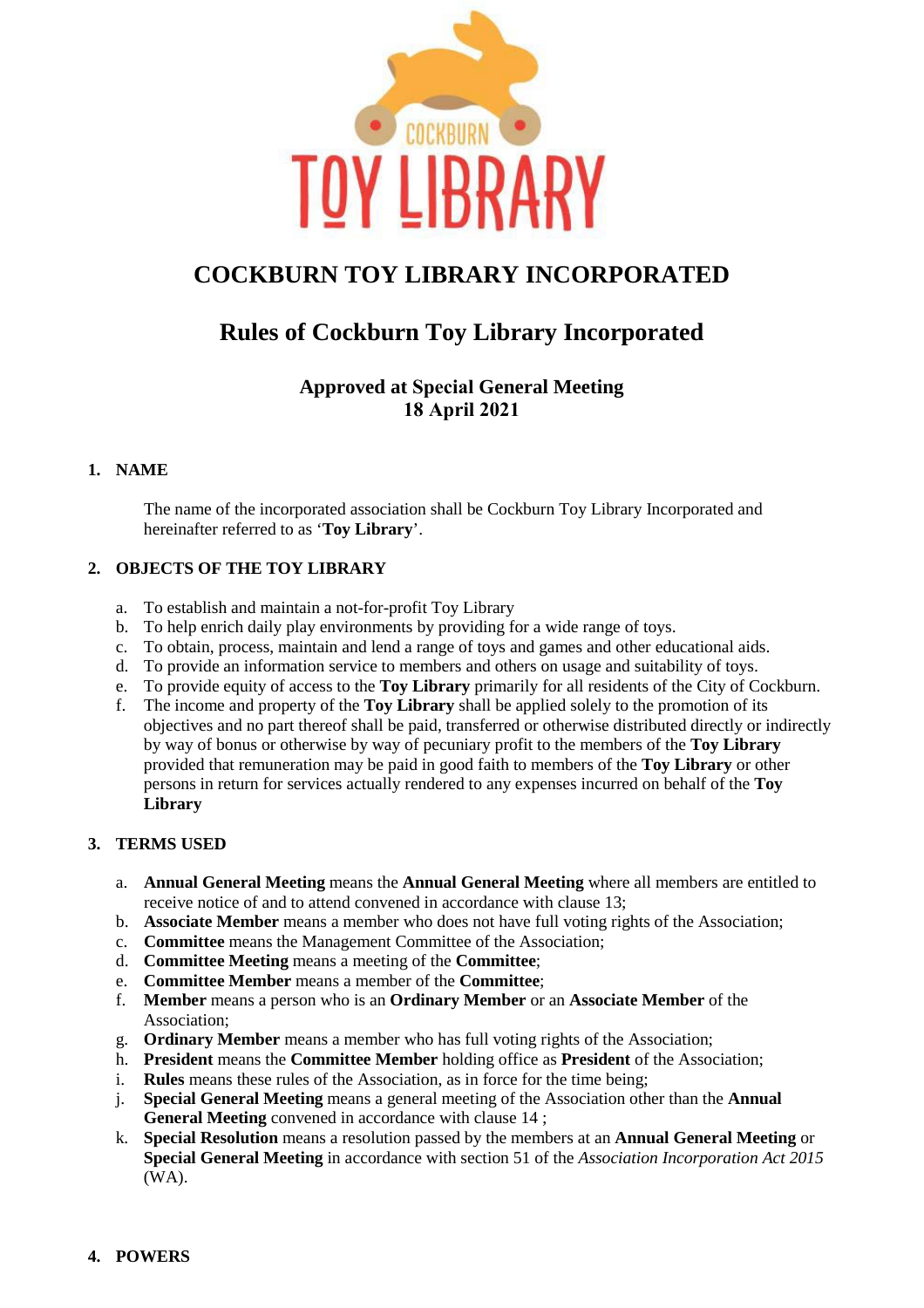

# **COCKBURN TOY LIBRARY INCORPORATED**

# **Rules of Cockburn Toy Library Incorporated**

# **Approved at Special General Meeting 18 April 2021**

## **1. NAME**

The name of the incorporated association shall be Cockburn Toy Library Incorporated and hereinafter referred to as '**Toy Library**'.

## **2. OBJECTS OF THE TOY LIBRARY**

- a. To establish and maintain a not-for-profit Toy Library
- b. To help enrich daily play environments by providing for a wide range of toys.
- c. To obtain, process, maintain and lend a range of toys and games and other educational aids.
- d. To provide an information service to members and others on usage and suitability of toys.
- e. To provide equity of access to the **Toy Library** primarily for all residents of the City of Cockburn.
- f. The income and property of the **Toy Library** shall be applied solely to the promotion of its objectives and no part thereof shall be paid, transferred or otherwise distributed directly or indirectly by way of bonus or otherwise by way of pecuniary profit to the members of the **Toy Library** provided that remuneration may be paid in good faith to members of the **Toy Library** or other persons in return for services actually rendered to any expenses incurred on behalf of the **Toy Library**

# **3. TERMS USED**

- a. **Annual General Meeting** means the **Annual General Meeting** where all members are entitled to receive notice of and to attend convened in accordance with clause 13;
- b. **Associate Member** means a member who does not have full voting rights of the Association;
- c. **Committee** means the Management Committee of the Association;
- d. **Committee Meeting** means a meeting of the **Committee**;
- e. **Committee Member** means a member of the **Committee**;
- f. **Member** means a person who is an **Ordinary Member** or an **Associate Member** of the Association;
- g. **Ordinary Member** means a member who has full voting rights of the Association;
- h. **President** means the **Committee Member** holding office as **President** of the Association;
- i. **Rules** means these rules of the Association, as in force for the time being;
- j. **Special General Meeting** means a general meeting of the Association other than the **Annual General Meeting** convened in accordance with clause 14 ;
- k. **Special Resolution** means a resolution passed by the members at an **Annual General Meeting** or **Special General Meeting** in accordance with section 51 of the *Association Incorporation Act 2015* (WA).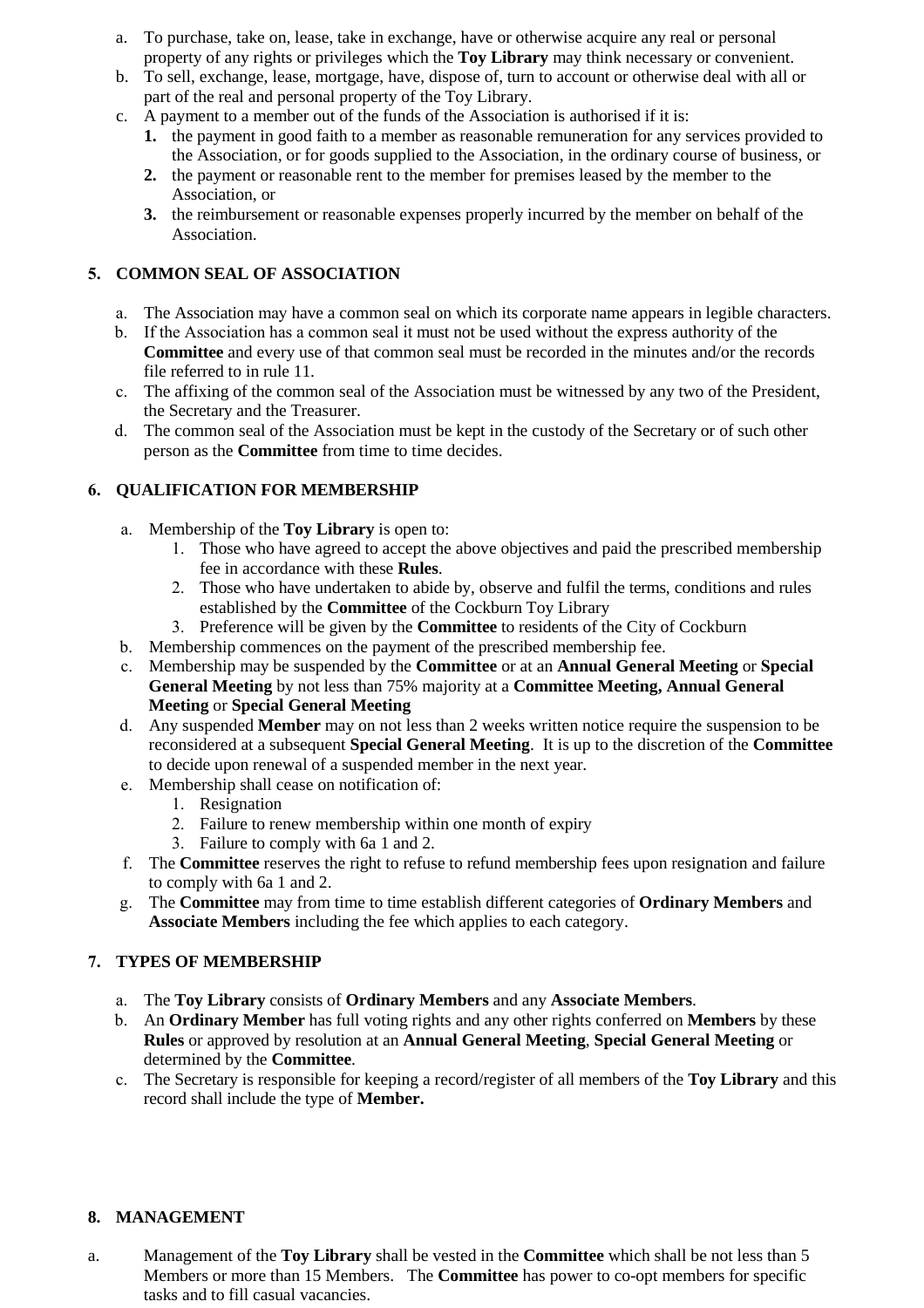- a. To purchase, take on, lease, take in exchange, have or otherwise acquire any real or personal property of any rights or privileges which the **Toy Library** may think necessary or convenient.
- b. To sell, exchange, lease, mortgage, have, dispose of, turn to account or otherwise deal with all or part of the real and personal property of the Toy Library.
- c. A payment to a member out of the funds of the Association is authorised if it is:
	- **1.** the payment in good faith to a member as reasonable remuneration for any services provided to the Association, or for goods supplied to the Association, in the ordinary course of business, or
	- **2.** the payment or reasonable rent to the member for premises leased by the member to the Association, or
	- **3.** the reimbursement or reasonable expenses properly incurred by the member on behalf of the Association.

# **5. COMMON SEAL OF ASSOCIATION**

- a. The Association may have a common seal on which its corporate name appears in legible characters.
- b. If the Association has a common seal it must not be used without the express authority of the **Committee** and every use of that common seal must be recorded in the minutes and/or the records file referred to in rule 11.
- c. The affixing of the common seal of the Association must be witnessed by any two of the President, the Secretary and the Treasurer.
- d. The common seal of the Association must be kept in the custody of the Secretary or of such other person as the **Committee** from time to time decides.

## **6. QUALIFICATION FOR MEMBERSHIP**

- a. Membership of the **Toy Library** is open to:
	- 1. Those who have agreed to accept the above objectives and paid the prescribed membership fee in accordance with these **Rules**.
	- 2. Those who have undertaken to abide by, observe and fulfil the terms, conditions and rules established by the **Committee** of the Cockburn Toy Library
	- 3. Preference will be given by the **Committee** to residents of the City of Cockburn
- b. Membership commences on the payment of the prescribed membership fee.
- c. Membership may be suspended by the **Committee** or at an **Annual General Meeting** or **Special General Meeting** by not less than 75% majority at a **Committee Meeting, Annual General Meeting** or **Special General Meeting**
- d. Any suspended **Member** may on not less than 2 weeks written notice require the suspension to be reconsidered at a subsequent **Special General Meeting**. It is up to the discretion of the **Committee** to decide upon renewal of a suspended member in the next year.
- e. Membership shall cease on notification of:
	- 1. Resignation
	- 2. Failure to renew membership within one month of expiry
	- 3. Failure to comply with 6a 1 and 2.
- f. The **Committee** reserves the right to refuse to refund membership fees upon resignation and failure to comply with 6a 1 and 2.
- g. The **Committee** may from time to time establish different categories of **Ordinary Members** and **Associate Members** including the fee which applies to each category.

## **7. TYPES OF MEMBERSHIP**

- a. The **Toy Library** consists of **Ordinary Members** and any **Associate Members**.
- b. An **Ordinary Member** has full voting rights and any other rights conferred on **Members** by these **Rules** or approved by resolution at an **Annual General Meeting**, **Special General Meeting** or determined by the **Committee**.
- c. The Secretary is responsible for keeping a record/register of all members of the **Toy Library** and this record shall include the type of **Member.**

## **8. MANAGEMENT**

a. Management of the **Toy Library** shall be vested in the **Committee** which shall be not less than 5 Members or more than 15 Members. The **Committee** has power to co-opt members for specific tasks and to fill casual vacancies.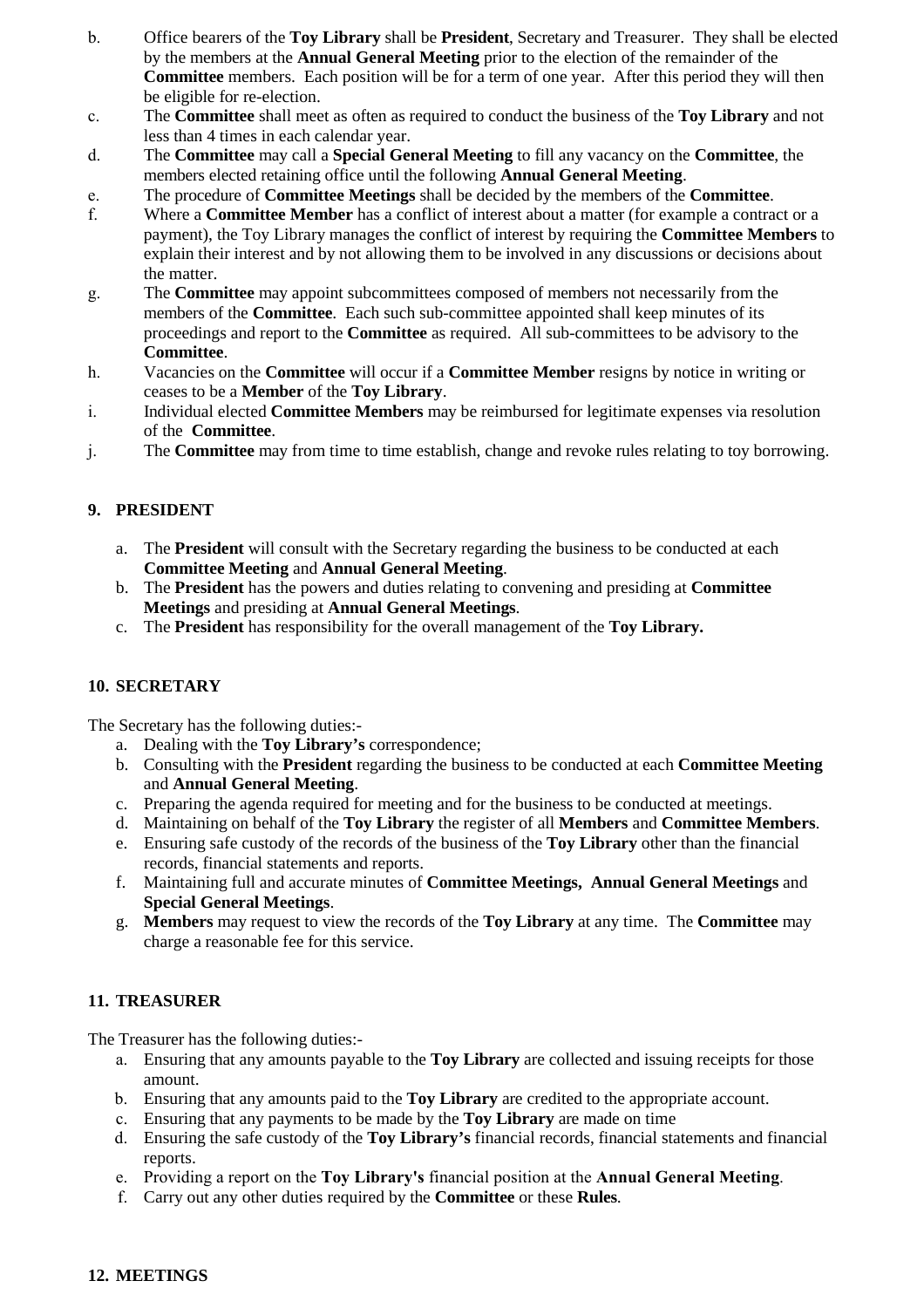- b. Office bearers of the **Toy Library** shall be **President**, Secretary and Treasurer. They shall be elected by the members at the **Annual General Meeting** prior to the election of the remainder of the **Committee** members. Each position will be for a term of one year. After this period they will then be eligible for re-election.
- c. The **Committee** shall meet as often as required to conduct the business of the **Toy Library** and not less than 4 times in each calendar year.
- d. The **Committee** may call a **Special General Meeting** to fill any vacancy on the **Committee**, the members elected retaining office until the following **Annual General Meeting**.
- e. The procedure of **Committee Meetings** shall be decided by the members of the **Committee**.
- f. Where a **Committee Member** has a conflict of interest about a matter (for example a contract or a payment), the Toy Library manages the conflict of interest by requiring the **Committee Members** to explain their interest and by not allowing them to be involved in any discussions or decisions about the matter.
- g. The **Committee** may appoint subcommittees composed of members not necessarily from the members of the **Committee**. Each such sub-committee appointed shall keep minutes of its proceedings and report to the **Committee** as required. All sub-committees to be advisory to the **Committee**.
- h. Vacancies on the **Committee** will occur if a **Committee Member** resigns by notice in writing or ceases to be a **Member** of the **Toy Library**.
- i. Individual elected **Committee Members** may be reimbursed for legitimate expenses via resolution of the **Committee**.
- j. The **Committee** may from time to time establish, change and revoke rules relating to toy borrowing.

## **9. PRESIDENT**

- a. The **President** will consult with the Secretary regarding the business to be conducted at each **Committee Meeting** and **Annual General Meeting**.
- b. The **President** has the powers and duties relating to convening and presiding at **Committee Meetings** and presiding at **Annual General Meetings**.
- c. The **President** has responsibility for the overall management of the **Toy Library.**

## **10. SECRETARY**

The Secretary has the following duties:-

- a. Dealing with the **Toy Library's** correspondence;
- b. Consulting with the **President** regarding the business to be conducted at each **Committee Meeting** and **Annual General Meeting**.
- c. Preparing the agenda required for meeting and for the business to be conducted at meetings.
- d. Maintaining on behalf of the **Toy Library** the register of all **Members** and **Committee Members**.
- e. Ensuring safe custody of the records of the business of the **Toy Library** other than the financial records, financial statements and reports.
- f. Maintaining full and accurate minutes of **Committee Meetings, Annual General Meetings** and **Special General Meetings**.
- g. **Members** may request to view the records of the **Toy Library** at any time. The **Committee** may charge a reasonable fee for this service.

## **11. TREASURER**

The Treasurer has the following duties:-

- a. Ensuring that any amounts payable to the **Toy Library** are collected and issuing receipts for those amount.
- b. Ensuring that any amounts paid to the **Toy Library** are credited to the appropriate account.
- c. Ensuring that any payments to be made by the **Toy Library** are made on time
- d. Ensuring the safe custody of the **Toy Library's** financial records, financial statements and financial reports.
- e. Providing a report on the **Toy Library's** financial position at the **Annual General Meeting**.
- f. Carry out any other duties required by the **Committee** or these **Rules**.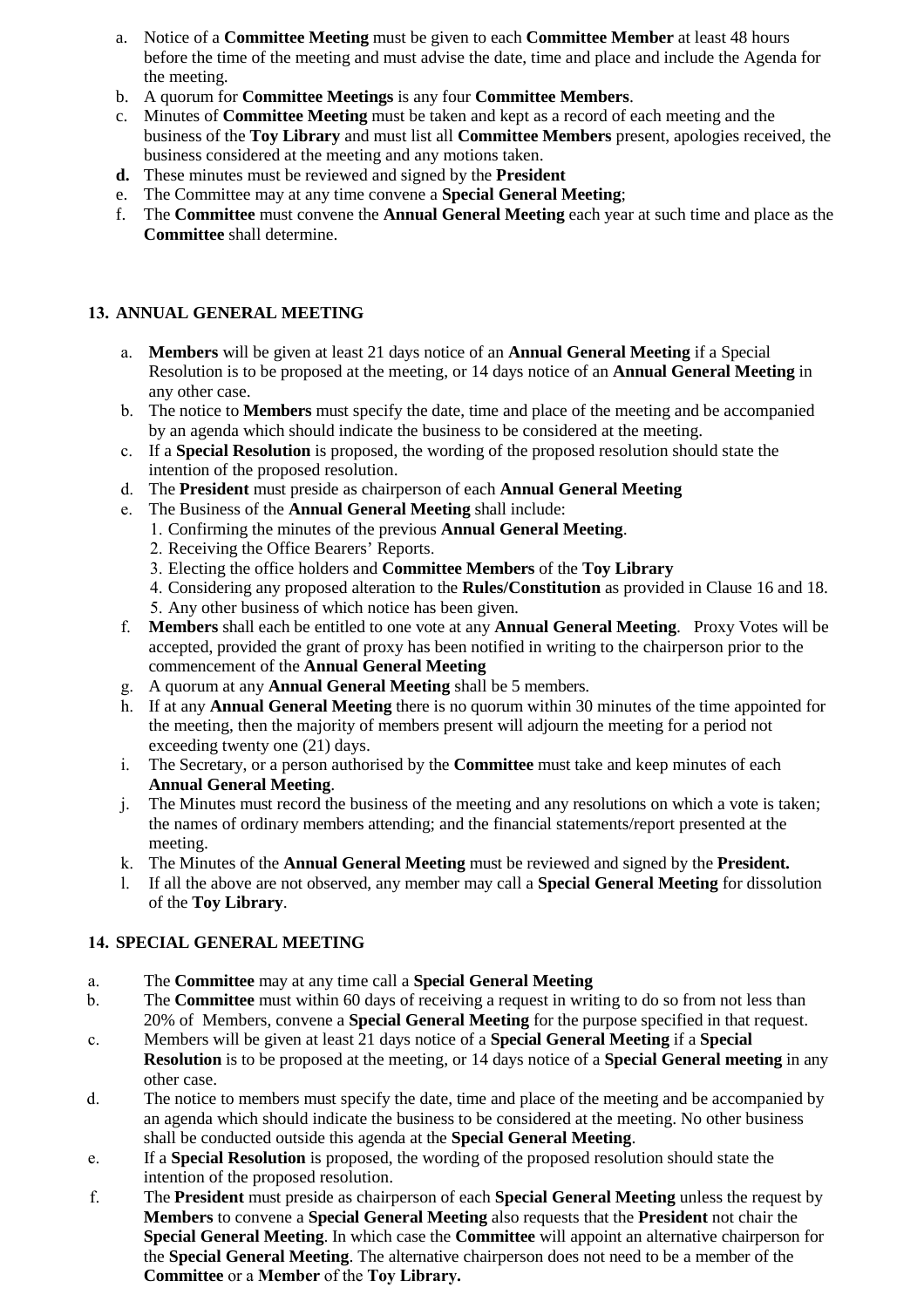- a. Notice of a **Committee Meeting** must be given to each **Committee Member** at least 48 hours before the time of the meeting and must advise the date, time and place and include the Agenda for the meeting.
- b. A quorum for **Committee Meetings** is any four **Committee Members**.
- c. Minutes of **Committee Meeting** must be taken and kept as a record of each meeting and the business of the **Toy Library** and must list all **Committee Members** present, apologies received, the business considered at the meeting and any motions taken.
- **d.** These minutes must be reviewed and signed by the **President**
- e. The Committee may at any time convene a **Special General Meeting**;
- f. The **Committee** must convene the **Annual General Meeting** each year at such time and place as the **Committee** shall determine.

# **13. ANNUAL GENERAL MEETING**

- a. **Members** will be given at least 21 days notice of an **Annual General Meeting** if a Special Resolution is to be proposed at the meeting, or 14 days notice of an **Annual General Meeting** in any other case.
- b. The notice to **Members** must specify the date, time and place of the meeting and be accompanied by an agenda which should indicate the business to be considered at the meeting.
- c. If a **Special Resolution** is proposed, the wording of the proposed resolution should state the intention of the proposed resolution.
- d. The **President** must preside as chairperson of each **Annual General Meeting**
- e. The Business of the **Annual General Meeting** shall include:
	- 1. Confirming the minutes of the previous **Annual General Meeting**.
	- 2. Receiving the Office Bearers' Reports.
	- 3. Electing the office holders and **Committee Members** of the **Toy Library**
	- 4. Considering any proposed alteration to the **Rules/Constitution** as provided in Clause 16 and 18.
	- 5. Any other business of which notice has been given.
- f. **Members** shall each be entitled to one vote at any **Annual General Meeting**. Proxy Votes will be accepted, provided the grant of proxy has been notified in writing to the chairperson prior to the commencement of the **Annual General Meeting**
- g. A quorum at any **Annual General Meeting** shall be 5 members.
- h. If at any **Annual General Meeting** there is no quorum within 30 minutes of the time appointed for the meeting, then the majority of members present will adjourn the meeting for a period not exceeding twenty one (21) days.
- i. The Secretary, or a person authorised by the **Committee** must take and keep minutes of each **Annual General Meeting**.
- j. The Minutes must record the business of the meeting and any resolutions on which a vote is taken; the names of ordinary members attending; and the financial statements/report presented at the meeting.
- k. The Minutes of the **Annual General Meeting** must be reviewed and signed by the **President.**
- l. If all the above are not observed, any member may call a **Special General Meeting** for dissolution of the **Toy Library**.

# **14. SPECIAL GENERAL MEETING**

- a. The **Committee** may at any time call a **Special General Meeting**
- b. The **Committee** must within 60 days of receiving a request in writing to do so from not less than 20% of Members, convene a **Special General Meeting** for the purpose specified in that request.
- c. Members will be given at least 21 days notice of a **Special General Meeting** if a **Special Resolution** is to be proposed at the meeting, or 14 days notice of a **Special General meeting** in any other case.
- d. The notice to members must specify the date, time and place of the meeting and be accompanied by an agenda which should indicate the business to be considered at the meeting. No other business shall be conducted outside this agenda at the **Special General Meeting**.
- e. If a **Special Resolution** is proposed, the wording of the proposed resolution should state the intention of the proposed resolution.
- f. The **President** must preside as chairperson of each **Special General Meeting** unless the request by **Members** to convene a **Special General Meeting** also requests that the **President** not chair the **Special General Meeting**. In which case the **Committee** will appoint an alternative chairperson for the **Special General Meeting**. The alternative chairperson does not need to be a member of the **Committee** or a **Member** of the **Toy Library.**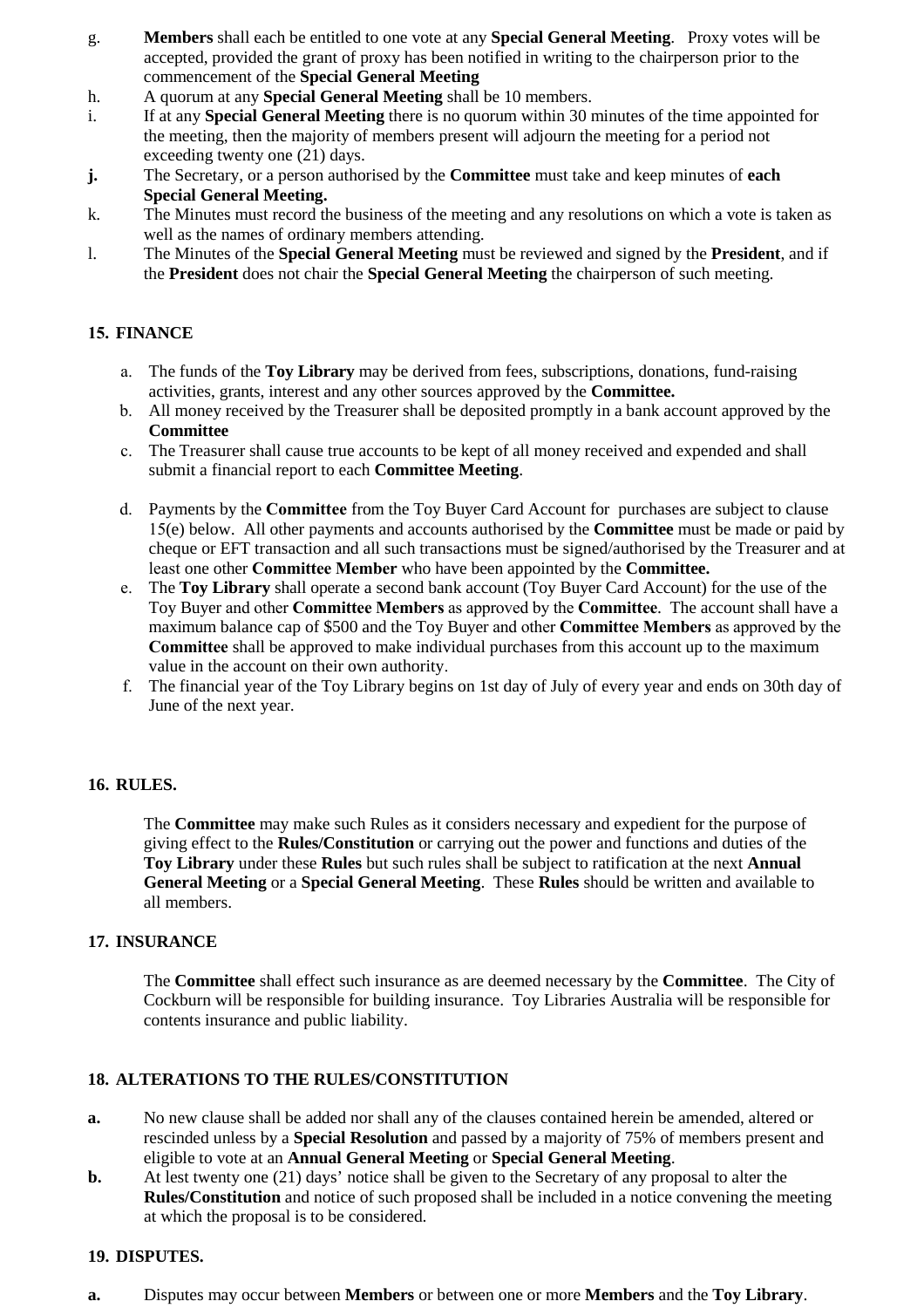- g. **Members** shall each be entitled to one vote at any **Special General Meeting**. Proxy votes will be accepted, provided the grant of proxy has been notified in writing to the chairperson prior to the commencement of the **Special General Meeting**
- h. A quorum at any **Special General Meeting** shall be 10 members.
- i. If at any **Special General Meeting** there is no quorum within 30 minutes of the time appointed for the meeting, then the majority of members present will adjourn the meeting for a period not exceeding twenty one (21) days.
- **j.** The Secretary, or a person authorised by the **Committee** must take and keep minutes of **each Special General Meeting.**
- k. The Minutes must record the business of the meeting and any resolutions on which a vote is taken as well as the names of ordinary members attending.
- l. The Minutes of the **Special General Meeting** must be reviewed and signed by the **President**, and if the **President** does not chair the **Special General Meeting** the chairperson of such meeting.

#### **15. FINANCE**

- a. The funds of the **Toy Library** may be derived from fees, subscriptions, donations, fund-raising activities, grants, interest and any other sources approved by the **Committee.**
- b. All money received by the Treasurer shall be deposited promptly in a bank account approved by the **Committee**
- c. The Treasurer shall cause true accounts to be kept of all money received and expended and shall submit a financial report to each **Committee Meeting**.
- d. Payments by the **Committee** from the Toy Buyer Card Account for purchases are subject to clause 15(e) below. All other payments and accounts authorised by the **Committee** must be made or paid by cheque or EFT transaction and all such transactions must be signed/authorised by the Treasurer and at least one other **Committee Member** who have been appointed by the **Committee.**
- e. The **Toy Library** shall operate a second bank account (Toy Buyer Card Account) for the use of the Toy Buyer and other **Committee Members** as approved by the **Committee**. The account shall have a maximum balance cap of \$500 and the Toy Buyer and other **Committee Members** as approved by the **Committee** shall be approved to make individual purchases from this account up to the maximum value in the account on their own authority.
- f. The financial year of the Toy Library begins on 1st day of July of every year and ends on 30th day of June of the next year.

#### **16. RULES.**

The **Committee** may make such Rules as it considers necessary and expedient for the purpose of giving effect to the **Rules/Constitution** or carrying out the power and functions and duties of the **Toy Library** under these **Rules** but such rules shall be subject to ratification at the next **Annual General Meeting** or a **Special General Meeting**. These **Rules** should be written and available to all members.

#### **17. INSURANCE**

The **Committee** shall effect such insurance as are deemed necessary by the **Committee**. The City of Cockburn will be responsible for building insurance. Toy Libraries Australia will be responsible for contents insurance and public liability.

#### **18. ALTERATIONS TO THE RULES/CONSTITUTION**

- **a.** No new clause shall be added nor shall any of the clauses contained herein be amended, altered or rescinded unless by a **Special Resolution** and passed by a majority of 75% of members present and eligible to vote at an **Annual General Meeting** or **Special General Meeting**.
- **b.** At lest twenty one (21) days' notice shall be given to the Secretary of any proposal to alter the **Rules/Constitution** and notice of such proposed shall be included in a notice convening the meeting at which the proposal is to be considered.

#### **19. DISPUTES.**

**a.** Disputes may occur between **Members** or between one or more **Members** and the **Toy Library**.